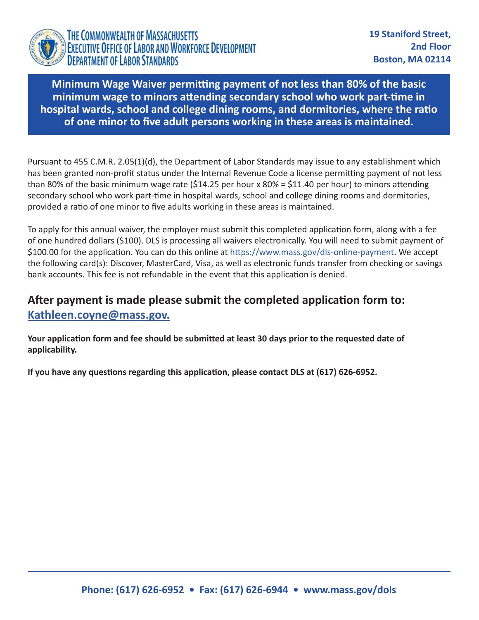

**Minimum Wage Waiver permitting payment of not less than 80% of the basic minimum wage to minors attending secondary school who work part-time in hospital wards, school and college dining rooms, and dormitories, where the ratio of one minor to five adult persons working in these areas is maintained.**

Pursuant to 455 C.M.R. 2.05(1)(d), the Department of Labor Standards may issue to any establishment which has been granted non-profit status under the Internal Revenue Code a license permitting payment of not less than 80% of the basic minimum wage rate (\$14.25 per hour x 80% = \$11.40 per hour) to minors attending secondary school who work part-time in hospital wards, school and college dining rooms and dormitories, provided a ratio of one minor to five adults working in these areas is maintained.

To apply for this annual waiver, the employer must submit this completed application form, along with a fee of one hundred dollars (\$100). DLS is processing all waivers electronically. You will need to submit payment of \$100.00 for the application. You can do this online at<https://www.mass.gov/dls-online-payment>. We accept the following card(s): Discover, MasterCard, Visa, as well as electronic funds transfer from checking or savings bank accounts. This fee is not refundable in the event that this application is denied.

## **After payment is made please submit the completed application form to: [Kathleen.coyne@mass.gov.](mailto:http://Kathleen.coyne@mass.gov)**

**Your application form and fee should be submitted at least 30 days prior to the requested date of applicability.**

**If you have any questions regarding this application, please contact DLS at (617) 626-6952.**